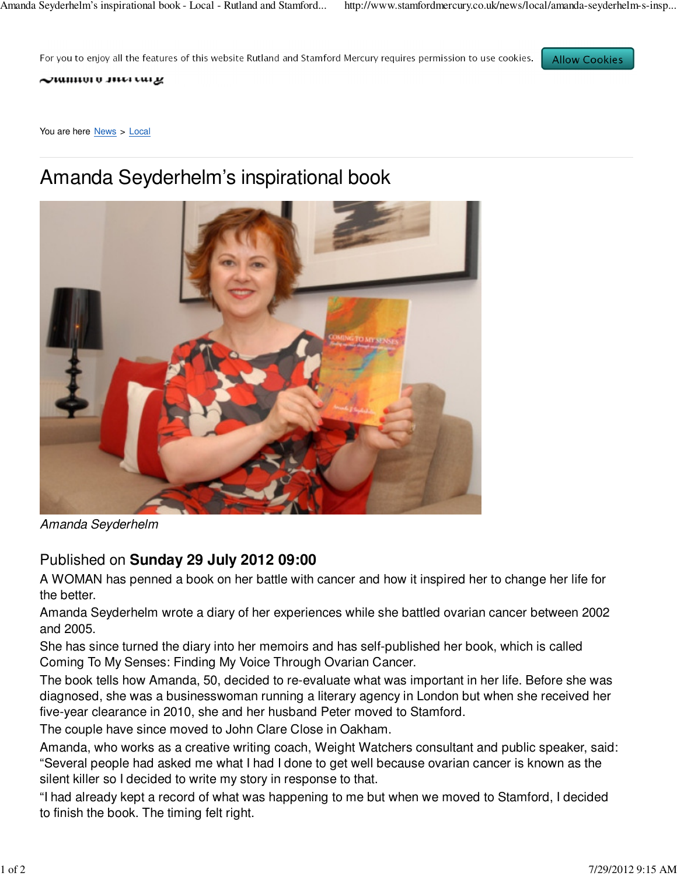For you to enjoy all the features of this website Rutland and Stamford Mercury requires permission to use cookies.

**Allow Cookies** 

 $\sim$ ummu u mara cur $\mu$ 

You are here News > Local

## Amanda Seyderhelm's inspirational book



Amanda Seyderhelm

## Published on **Sunday 29 July 2012 09:00**

A WOMAN has penned a book on her battle with cancer and how it inspired her to change her life for the better.

Amanda Seyderhelm wrote a diary of her experiences while she battled ovarian cancer between 2002 and 2005.

She has since turned the diary into her memoirs and has self-published her book, which is called Coming To My Senses: Finding My Voice Through Ovarian Cancer.

The book tells how Amanda, 50, decided to re-evaluate what was important in her life. Before she was diagnosed, she was a businesswoman running a literary agency in London but when she received her five-year clearance in 2010, she and her husband Peter moved to Stamford.

The couple have since moved to John Clare Close in Oakham.

Amanda, who works as a creative writing coach, Weight Watchers consultant and public speaker, said: "Several people had asked me what I had I done to get well because ovarian cancer is known as the silent killer so I decided to write my story in response to that.

"I had already kept a record of what was happening to me but when we moved to Stamford, I decided to finish the book. The timing felt right.